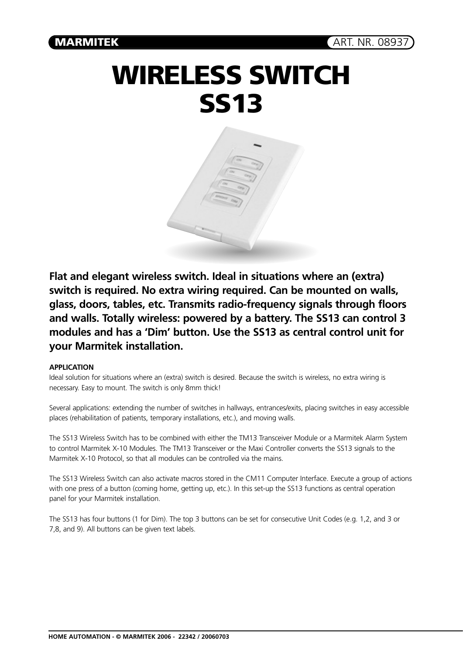## **WIRELESS SWITCH SS13**



**Flat and elegant wireless switch. Ideal in situations where an (extra) switch is required. No extra wiring required. Can be mounted on walls, glass, doors, tables, etc. Transmits radio-frequency signals through floors and walls. Totally wireless: powered by a battery. The SS13 can control 3 modules and has a 'Dim' button. Use the SS13 as central control unit for your Marmitek installation.**

## **APPLICATION**

Ideal solution for situations where an (extra) switch is desired. Because the switch is wireless, no extra wiring is necessary. Easy to mount. The switch is only 8mm thick!

Several applications: extending the number of switches in hallways, entrances/exits, placing switches in easy accessible places (rehabilitation of patients, temporary installations, etc.), and moving walls.

The SS13 Wireless Switch has to be combined with either the TM13 Transceiver Module or a Marmitek Alarm System to control Marmitek X-10 Modules. The TM13 Transceiver or the Maxi Controller converts the SS13 signals to the Marmitek X-10 Protocol, so that all modules can be controlled via the mains.

The SS13 Wireless Switch can also activate macros stored in the CM11 Computer Interface. Execute a group of actions with one press of a button (coming home, getting up, etc.). In this set-up the SS13 functions as central operation panel for your Marmitek installation.

The SS13 has four buttons (1 for Dim). The top 3 buttons can be set for consecutive Unit Codes (e.g. 1,2, and 3 or 7,8, and 9). All buttons can be given text labels.